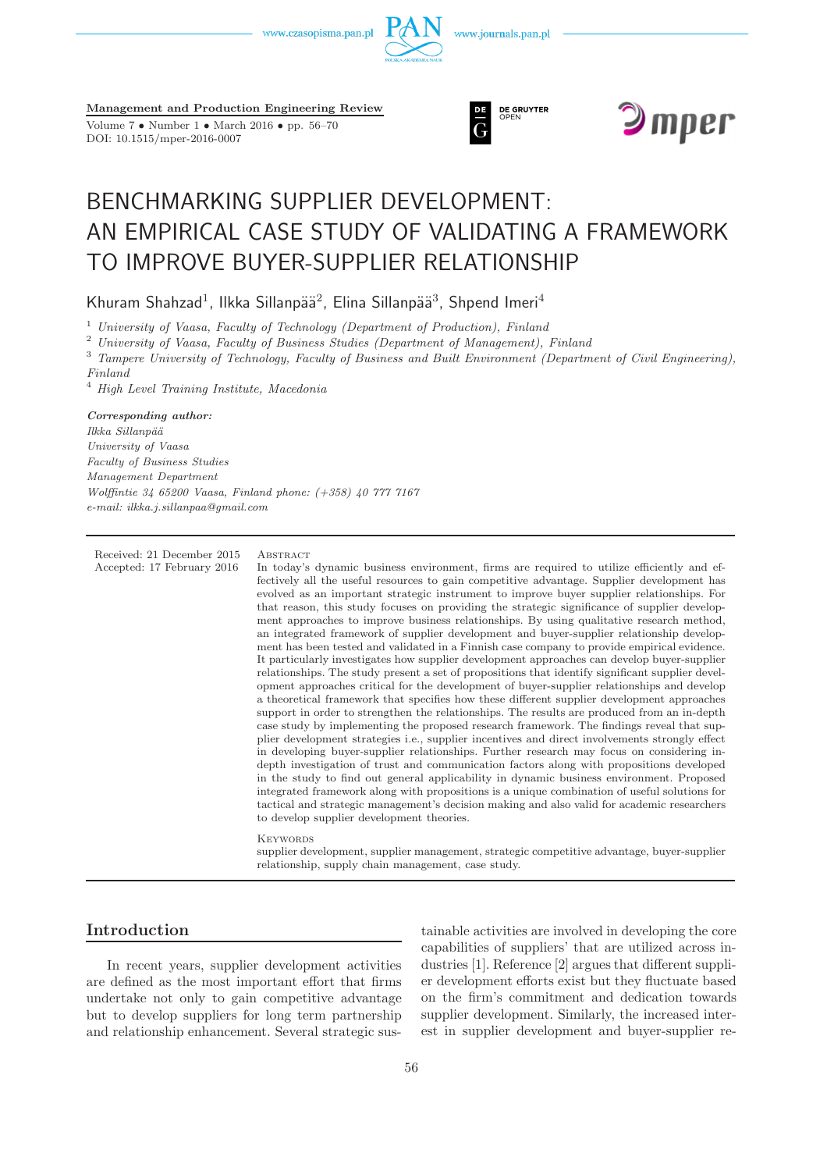



**Management and Production Engineering Review**

Volume 7 • Number 1 • March 2016 • pp. 56–70 DOI: 10.1515/mper-2016-0007





# BENCHMARKING SUPPLIER DEVELOPMENT: AN EMPIRICAL CASE STUDY OF VALIDATING A FRAMEWORK TO IMPROVE BUYER-SUPPLIER RELATIONSHIP

Khuram Shahzad<sup>1</sup>, Ilkka Sillanpää<sup>2</sup>, Elina Sillanpää<sup>3</sup>, Shpend Imeri<sup>4</sup>

<sup>1</sup> *University of Vaasa, Faculty of Technology (Department of Production), Finland*

<sup>2</sup> *University of Vaasa, Faculty of Business Studies (Department of Management), Finland*

<sup>3</sup> *Tampere University of Technology, Faculty of Business and Built Environment (Department of Civil Engineering),*

*Finland*

<sup>4</sup> *High Level Training Institute, Macedonia*

*Corresponding author:*

*Ilkka Sillanp¨a¨a University of Vaasa Faculty of Business Studies Management Department Wolffintie 34 65200 Vaasa, Finland phone: (+358) 40 777 7167 e-mail: ilkka.j.sillanpaa@gmail.com*

Received: 21 December 2015 ABSTRACT

Accepted: 17 February 2016 In today's dynamic business environment, firms are required to utilize efficiently and effectively all the useful resources to gain competitive advantage. Supplier development has evolved as an important strategic instrument to improve buyer supplier relationships. For that reason, this study focuses on providing the strategic significance of supplier development approaches to improve business relationships. By using qualitative research method, an integrated framework of supplier development and buyer-supplier relationship development has been tested and validated in a Finnish case company to provide empirical evidence. It particularly investigates how supplier development approaches can develop buyer-supplier relationships. The study present a set of propositions that identify significant supplier development approaches critical for the development of buyer-supplier relationships and develop a theoretical framework that specifies how these different supplier development approaches support in order to strengthen the relationships. The results are produced from an in-depth case study by implementing the proposed research framework. The findings reveal that supplier development strategies i.e., supplier incentives and direct involvements strongly effect in developing buyer-supplier relationships. Further research may focus on considering indepth investigation of trust and communication factors along with propositions developed in the study to find out general applicability in dynamic business environment. Proposed integrated framework along with propositions is a unique combination of useful solutions for tactical and strategic management's decision making and also valid for academic researchers to develop supplier development theories.

**KEYWORDS** 

supplier development, supplier management, strategic competitive advantage, buyer-supplier relationship, supply chain management, case study.

# **Introduction**

In recent years, supplier development activities are defined as the most important effort that firms undertake not only to gain competitive advantage but to develop suppliers for long term partnership and relationship enhancement. Several strategic sus-

tainable activities are involved in developing the core capabilities of suppliers' that are utilized across industries [1]. Reference [2] argues that different supplier development efforts exist but they fluctuate based on the firm's commitment and dedication towards supplier development. Similarly, the increased interest in supplier development and buyer-supplier re-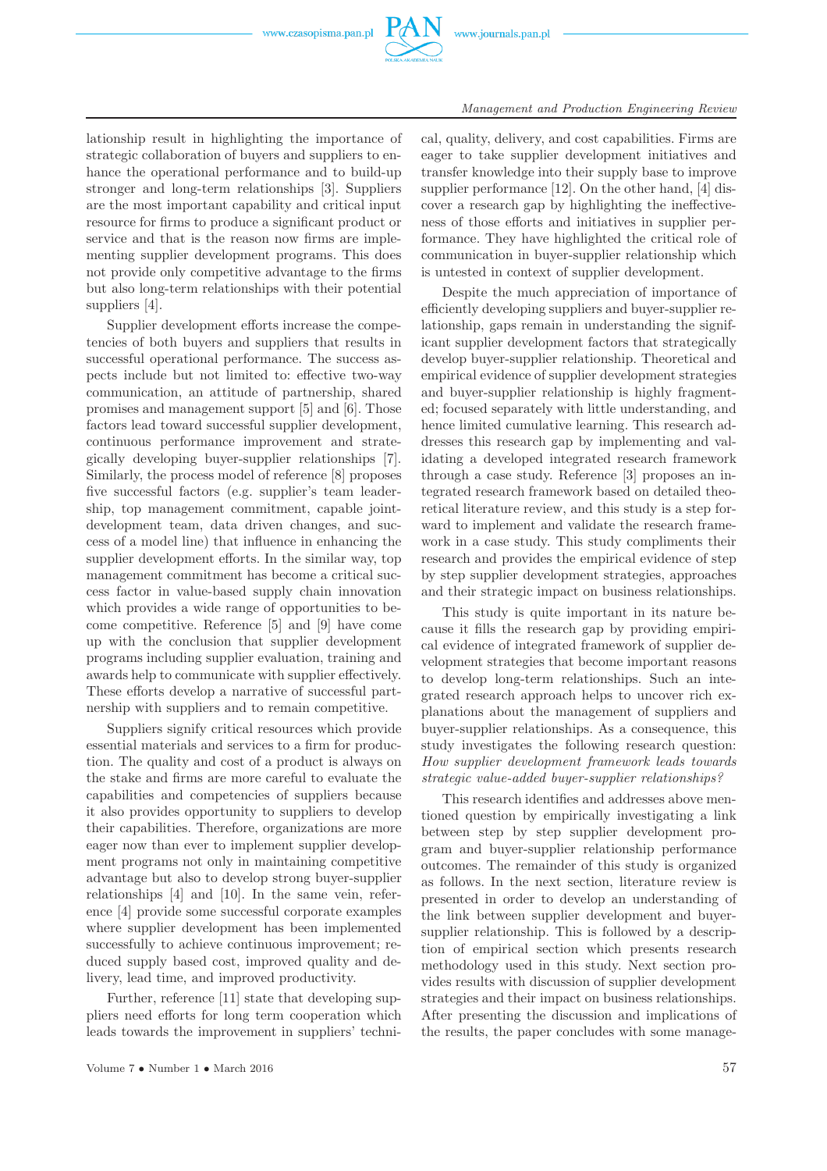

lationship result in highlighting the importance of strategic collaboration of buyers and suppliers to enhance the operational performance and to build-up stronger and long-term relationships [3]. Suppliers are the most important capability and critical input resource for firms to produce a significant product or service and that is the reason now firms are implementing supplier development programs. This does not provide only competitive advantage to the firms but also long-term relationships with their potential suppliers [4].

Supplier development efforts increase the competencies of both buyers and suppliers that results in successful operational performance. The success aspects include but not limited to: effective two-way communication, an attitude of partnership, shared promises and management support [5] and [6]. Those factors lead toward successful supplier development, continuous performance improvement and strategically developing buyer-supplier relationships [7]. Similarly, the process model of reference [8] proposes five successful factors (e.g. supplier's team leadership, top management commitment, capable jointdevelopment team, data driven changes, and success of a model line) that influence in enhancing the supplier development efforts. In the similar way, top management commitment has become a critical success factor in value-based supply chain innovation which provides a wide range of opportunities to become competitive. Reference [5] and [9] have come up with the conclusion that supplier development programs including supplier evaluation, training and awards help to communicate with supplier effectively. These efforts develop a narrative of successful partnership with suppliers and to remain competitive.

Suppliers signify critical resources which provide essential materials and services to a firm for production. The quality and cost of a product is always on the stake and firms are more careful to evaluate the capabilities and competencies of suppliers because it also provides opportunity to suppliers to develop their capabilities. Therefore, organizations are more eager now than ever to implement supplier development programs not only in maintaining competitive advantage but also to develop strong buyer-supplier relationships [4] and [10]. In the same vein, reference [4] provide some successful corporate examples where supplier development has been implemented successfully to achieve continuous improvement; reduced supply based cost, improved quality and delivery, lead time, and improved productivity.

Further, reference [11] state that developing suppliers need efforts for long term cooperation which leads towards the improvement in suppliers' techni-

Volume  $7 \cdot \text{Number 1} \cdot \text{March 2016}$  57

cal, quality, delivery, and cost capabilities. Firms are eager to take supplier development initiatives and transfer knowledge into their supply base to improve supplier performance [12]. On the other hand, [4] discover a research gap by highlighting the ineffectiveness of those efforts and initiatives in supplier performance. They have highlighted the critical role of communication in buyer-supplier relationship which is untested in context of supplier development.

Despite the much appreciation of importance of efficiently developing suppliers and buyer-supplier relationship, gaps remain in understanding the significant supplier development factors that strategically develop buyer-supplier relationship. Theoretical and empirical evidence of supplier development strategies and buyer-supplier relationship is highly fragmented; focused separately with little understanding, and hence limited cumulative learning. This research addresses this research gap by implementing and validating a developed integrated research framework through a case study. Reference [3] proposes an integrated research framework based on detailed theoretical literature review, and this study is a step forward to implement and validate the research framework in a case study. This study compliments their research and provides the empirical evidence of step by step supplier development strategies, approaches and their strategic impact on business relationships.

This study is quite important in its nature because it fills the research gap by providing empirical evidence of integrated framework of supplier development strategies that become important reasons to develop long-term relationships. Such an integrated research approach helps to uncover rich explanations about the management of suppliers and buyer-supplier relationships. As a consequence, this study investigates the following research question: *How supplier development framework leads towards strategic value-added buyer-supplier relationships?*

This research identifies and addresses above mentioned question by empirically investigating a link between step by step supplier development program and buyer-supplier relationship performance outcomes. The remainder of this study is organized as follows. In the next section, literature review is presented in order to develop an understanding of the link between supplier development and buyersupplier relationship. This is followed by a description of empirical section which presents research methodology used in this study. Next section provides results with discussion of supplier development strategies and their impact on business relationships. After presenting the discussion and implications of the results, the paper concludes with some manage-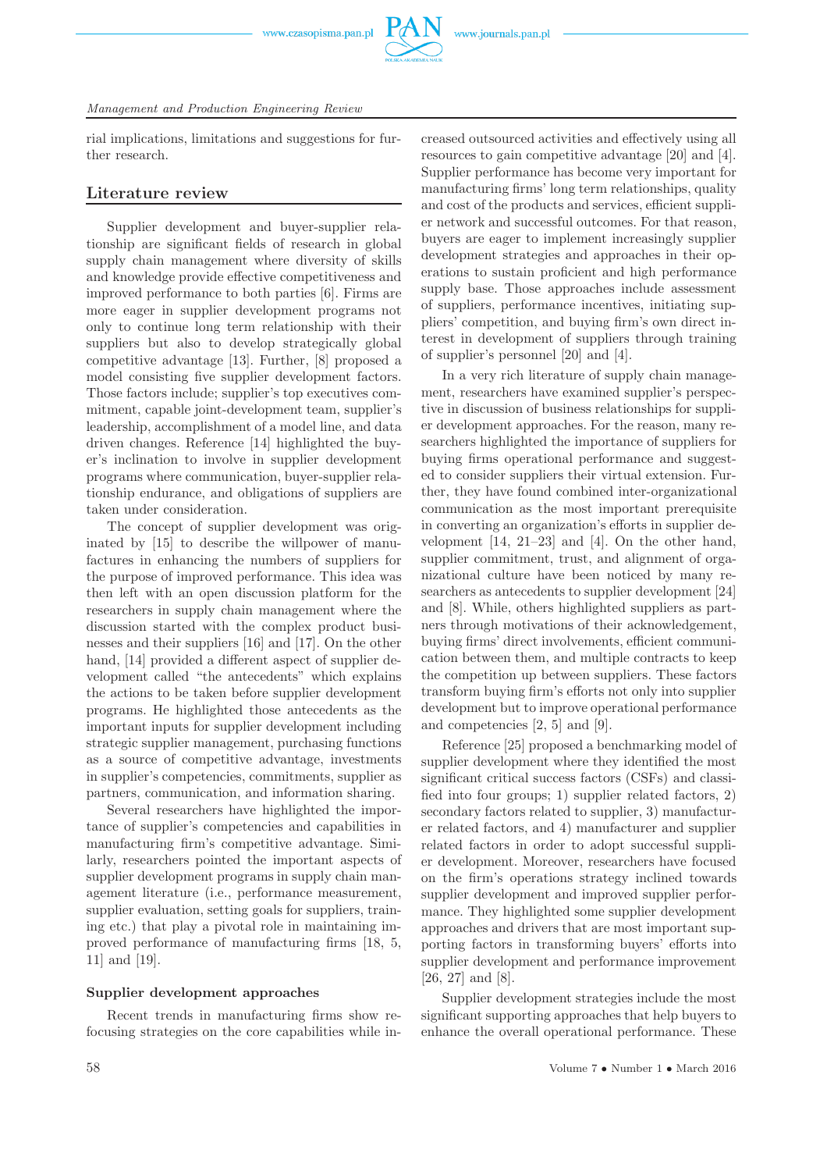

# *Management and Production Engineering Review*

rial implications, limitations and suggestions for further research.

# **Literature review**

Supplier development and buyer-supplier relationship are significant fields of research in global supply chain management where diversity of skills and knowledge provide effective competitiveness and improved performance to both parties [6]. Firms are more eager in supplier development programs not only to continue long term relationship with their suppliers but also to develop strategically global competitive advantage [13]. Further, [8] proposed a model consisting five supplier development factors. Those factors include; supplier's top executives commitment, capable joint-development team, supplier's leadership, accomplishment of a model line, and data driven changes. Reference [14] highlighted the buyer's inclination to involve in supplier development programs where communication, buyer-supplier relationship endurance, and obligations of suppliers are taken under consideration.

The concept of supplier development was originated by [15] to describe the willpower of manufactures in enhancing the numbers of suppliers for the purpose of improved performance. This idea was then left with an open discussion platform for the researchers in supply chain management where the discussion started with the complex product businesses and their suppliers [16] and [17]. On the other hand, [14] provided a different aspect of supplier development called "the antecedents" which explains the actions to be taken before supplier development programs. He highlighted those antecedents as the important inputs for supplier development including strategic supplier management, purchasing functions as a source of competitive advantage, investments in supplier's competencies, commitments, supplier as partners, communication, and information sharing.

Several researchers have highlighted the importance of supplier's competencies and capabilities in manufacturing firm's competitive advantage. Similarly, researchers pointed the important aspects of supplier development programs in supply chain management literature (i.e., performance measurement, supplier evaluation, setting goals for suppliers, training etc.) that play a pivotal role in maintaining improved performance of manufacturing firms [18, 5, 11] and [19].

# **Supplier development approaches**

Recent trends in manufacturing firms show refocusing strategies on the core capabilities while in-

creased outsourced activities and effectively using all resources to gain competitive advantage [20] and [4]. Supplier performance has become very important for manufacturing firms' long term relationships, quality and cost of the products and services, efficient supplier network and successful outcomes. For that reason, buyers are eager to implement increasingly supplier development strategies and approaches in their operations to sustain proficient and high performance supply base. Those approaches include assessment of suppliers, performance incentives, initiating suppliers' competition, and buying firm's own direct interest in development of suppliers through training of supplier's personnel [20] and [4].

In a very rich literature of supply chain management, researchers have examined supplier's perspective in discussion of business relationships for supplier development approaches. For the reason, many researchers highlighted the importance of suppliers for buying firms operational performance and suggested to consider suppliers their virtual extension. Further, they have found combined inter-organizational communication as the most important prerequisite in converting an organization's efforts in supplier development [14, 21–23] and [4]. On the other hand, supplier commitment, trust, and alignment of organizational culture have been noticed by many researchers as antecedents to supplier development [24] and [8]. While, others highlighted suppliers as partners through motivations of their acknowledgement, buying firms' direct involvements, efficient communication between them, and multiple contracts to keep the competition up between suppliers. These factors transform buying firm's efforts not only into supplier development but to improve operational performance and competencies [2, 5] and [9].

Reference [25] proposed a benchmarking model of supplier development where they identified the most significant critical success factors (CSFs) and classified into four groups; 1) supplier related factors, 2) secondary factors related to supplier, 3) manufacturer related factors, and 4) manufacturer and supplier related factors in order to adopt successful supplier development. Moreover, researchers have focused on the firm's operations strategy inclined towards supplier development and improved supplier performance. They highlighted some supplier development approaches and drivers that are most important supporting factors in transforming buyers' efforts into supplier development and performance improvement [26, 27] and [8].

Supplier development strategies include the most significant supporting approaches that help buyers to enhance the overall operational performance. These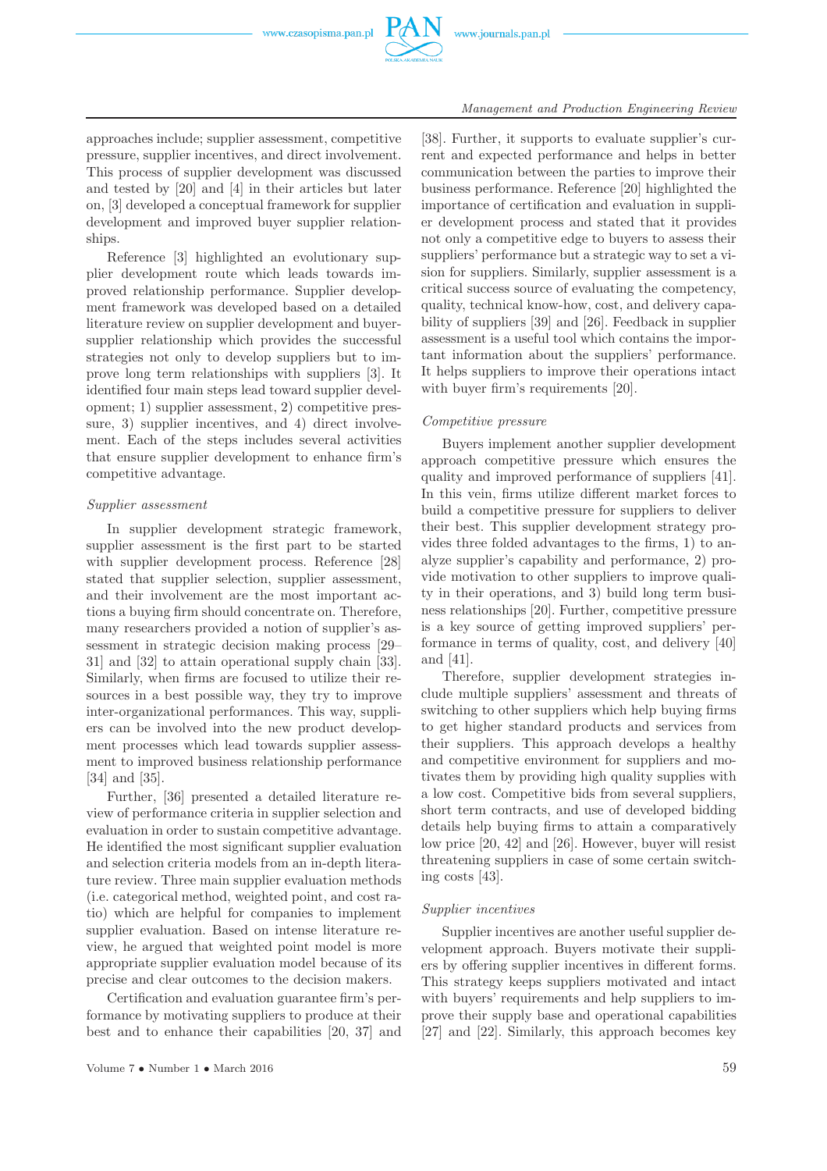

approaches include; supplier assessment, competitive pressure, supplier incentives, and direct involvement. This process of supplier development was discussed and tested by [20] and [4] in their articles but later on, [3] developed a conceptual framework for supplier development and improved buyer supplier relationships.

Reference [3] highlighted an evolutionary supplier development route which leads towards improved relationship performance. Supplier development framework was developed based on a detailed literature review on supplier development and buyersupplier relationship which provides the successful strategies not only to develop suppliers but to improve long term relationships with suppliers [3]. It identified four main steps lead toward supplier development; 1) supplier assessment, 2) competitive pressure, 3) supplier incentives, and 4) direct involvement. Each of the steps includes several activities that ensure supplier development to enhance firm's competitive advantage.

# *Supplier assessment*

In supplier development strategic framework, supplier assessment is the first part to be started with supplier development process. Reference [28] stated that supplier selection, supplier assessment, and their involvement are the most important actions a buying firm should concentrate on. Therefore, many researchers provided a notion of supplier's assessment in strategic decision making process [29– 31] and [32] to attain operational supply chain [33]. Similarly, when firms are focused to utilize their resources in a best possible way, they try to improve inter-organizational performances. This way, suppliers can be involved into the new product development processes which lead towards supplier assessment to improved business relationship performance [34] and [35].

Further, [36] presented a detailed literature review of performance criteria in supplier selection and evaluation in order to sustain competitive advantage. He identified the most significant supplier evaluation and selection criteria models from an in-depth literature review. Three main supplier evaluation methods (i.e. categorical method, weighted point, and cost ratio) which are helpful for companies to implement supplier evaluation. Based on intense literature review, he argued that weighted point model is more appropriate supplier evaluation model because of its precise and clear outcomes to the decision makers.

Certification and evaluation guarantee firm's performance by motivating suppliers to produce at their best and to enhance their capabilities [20, 37] and

[38]. Further, it supports to evaluate supplier's current and expected performance and helps in better communication between the parties to improve their business performance. Reference [20] highlighted the importance of certification and evaluation in supplier development process and stated that it provides not only a competitive edge to buyers to assess their suppliers' performance but a strategic way to set a vision for suppliers. Similarly, supplier assessment is a critical success source of evaluating the competency, quality, technical know-how, cost, and delivery capability of suppliers [39] and [26]. Feedback in supplier assessment is a useful tool which contains the important information about the suppliers' performance. It helps suppliers to improve their operations intact with buyer firm's requirements [20].

# *Competitive pressure*

Buyers implement another supplier development approach competitive pressure which ensures the quality and improved performance of suppliers [41]. In this vein, firms utilize different market forces to build a competitive pressure for suppliers to deliver their best. This supplier development strategy provides three folded advantages to the firms, 1) to analyze supplier's capability and performance, 2) provide motivation to other suppliers to improve quality in their operations, and 3) build long term business relationships [20]. Further, competitive pressure is a key source of getting improved suppliers' performance in terms of quality, cost, and delivery [40] and [41].

Therefore, supplier development strategies include multiple suppliers' assessment and threats of switching to other suppliers which help buying firms to get higher standard products and services from their suppliers. This approach develops a healthy and competitive environment for suppliers and motivates them by providing high quality supplies with a low cost. Competitive bids from several suppliers, short term contracts, and use of developed bidding details help buying firms to attain a comparatively low price [20, 42] and [26]. However, buyer will resist threatening suppliers in case of some certain switching costs [43].

# *Supplier incentives*

Supplier incentives are another useful supplier development approach. Buyers motivate their suppliers by offering supplier incentives in different forms. This strategy keeps suppliers motivated and intact with buyers' requirements and help suppliers to improve their supply base and operational capabilities [27] and [22]. Similarly, this approach becomes key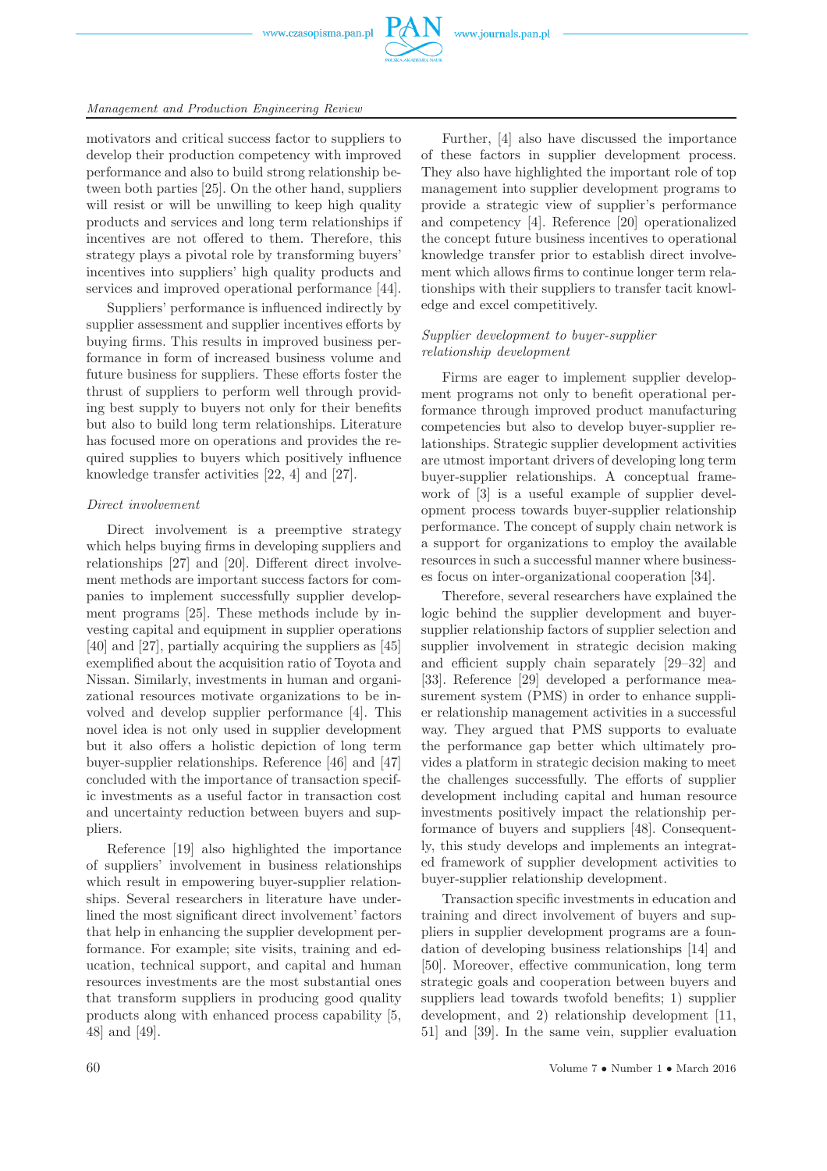

# *Management and Production Engineering Review*

motivators and critical success factor to suppliers to develop their production competency with improved performance and also to build strong relationship between both parties [25]. On the other hand, suppliers will resist or will be unwilling to keep high quality products and services and long term relationships if incentives are not offered to them. Therefore, this strategy plays a pivotal role by transforming buyers' incentives into suppliers' high quality products and services and improved operational performance [44].

Suppliers' performance is influenced indirectly by supplier assessment and supplier incentives efforts by buying firms. This results in improved business performance in form of increased business volume and future business for suppliers. These efforts foster the thrust of suppliers to perform well through providing best supply to buyers not only for their benefits but also to build long term relationships. Literature has focused more on operations and provides the required supplies to buyers which positively influence knowledge transfer activities [22, 4] and [27].

# *Direct involvement*

Direct involvement is a preemptive strategy which helps buying firms in developing suppliers and relationships [27] and [20]. Different direct involvement methods are important success factors for companies to implement successfully supplier development programs [25]. These methods include by investing capital and equipment in supplier operations [40] and [27], partially acquiring the suppliers as [45] exemplified about the acquisition ratio of Toyota and Nissan. Similarly, investments in human and organizational resources motivate organizations to be involved and develop supplier performance [4]. This novel idea is not only used in supplier development but it also offers a holistic depiction of long term buyer-supplier relationships. Reference [46] and [47] concluded with the importance of transaction specific investments as a useful factor in transaction cost and uncertainty reduction between buyers and suppliers.

Reference [19] also highlighted the importance of suppliers' involvement in business relationships which result in empowering buyer-supplier relationships. Several researchers in literature have underlined the most significant direct involvement' factors that help in enhancing the supplier development performance. For example; site visits, training and education, technical support, and capital and human resources investments are the most substantial ones that transform suppliers in producing good quality products along with enhanced process capability [5, 48] and [49].

Further, [4] also have discussed the importance of these factors in supplier development process. They also have highlighted the important role of top management into supplier development programs to provide a strategic view of supplier's performance and competency [4]. Reference [20] operationalized the concept future business incentives to operational knowledge transfer prior to establish direct involvement which allows firms to continue longer term relationships with their suppliers to transfer tacit knowledge and excel competitively.

# *Supplier development to buyer-supplier relationship development*

Firms are eager to implement supplier development programs not only to benefit operational performance through improved product manufacturing competencies but also to develop buyer-supplier relationships. Strategic supplier development activities are utmost important drivers of developing long term buyer-supplier relationships. A conceptual framework of [3] is a useful example of supplier development process towards buyer-supplier relationship performance. The concept of supply chain network is a support for organizations to employ the available resources in such a successful manner where businesses focus on inter-organizational cooperation [34].

Therefore, several researchers have explained the logic behind the supplier development and buyersupplier relationship factors of supplier selection and supplier involvement in strategic decision making and efficient supply chain separately [29–32] and [33]. Reference [29] developed a performance measurement system (PMS) in order to enhance supplier relationship management activities in a successful way. They argued that PMS supports to evaluate the performance gap better which ultimately provides a platform in strategic decision making to meet the challenges successfully. The efforts of supplier development including capital and human resource investments positively impact the relationship performance of buyers and suppliers [48]. Consequently, this study develops and implements an integrated framework of supplier development activities to buyer-supplier relationship development.

Transaction specific investments in education and training and direct involvement of buyers and suppliers in supplier development programs are a foundation of developing business relationships [14] and [50]. Moreover, effective communication, long term strategic goals and cooperation between buyers and suppliers lead towards twofold benefits; 1) supplier development, and 2) relationship development [11, 51] and [39]. In the same vein, supplier evaluation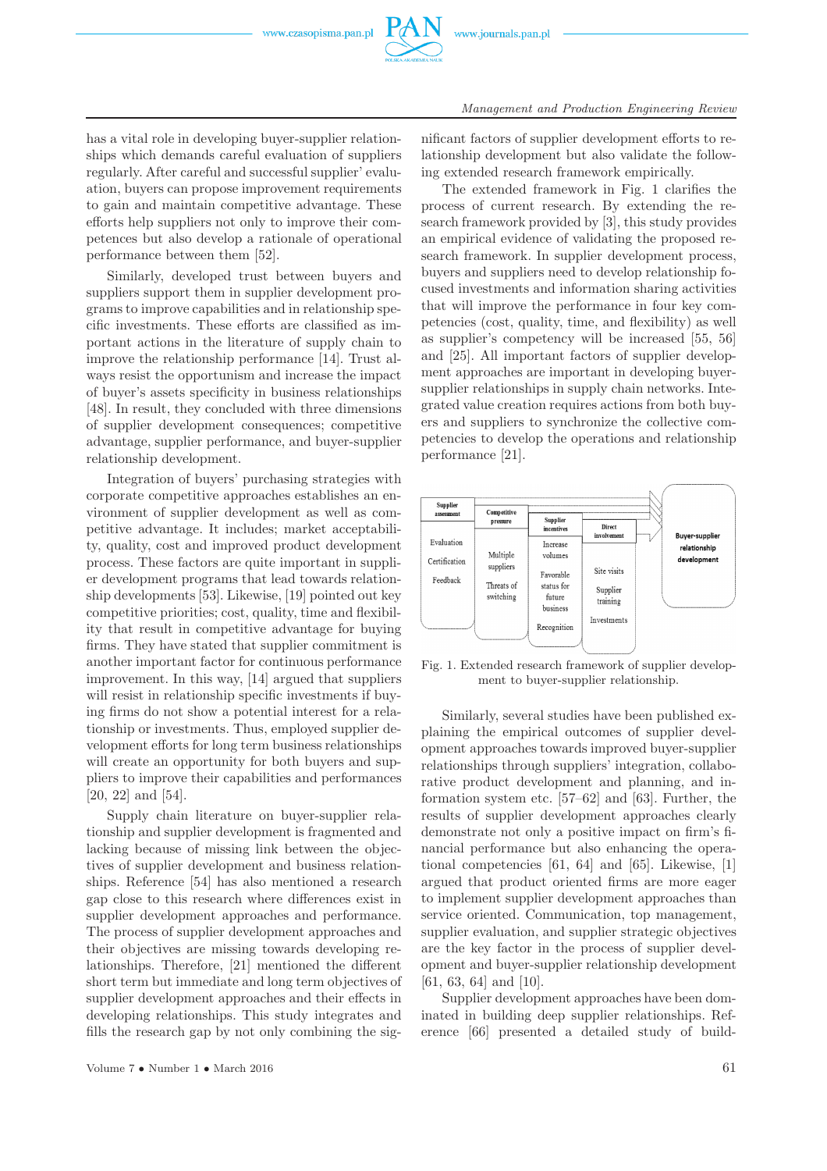

has a vital role in developing buyer-supplier relationships which demands careful evaluation of suppliers regularly. After careful and successful supplier' evaluation, buyers can propose improvement requirements to gain and maintain competitive advantage. These efforts help suppliers not only to improve their competences but also develop a rationale of operational performance between them [52].

Similarly, developed trust between buyers and suppliers support them in supplier development programs to improve capabilities and in relationship specific investments. These efforts are classified as important actions in the literature of supply chain to improve the relationship performance [14]. Trust always resist the opportunism and increase the impact of buyer's assets specificity in business relationships [48]. In result, they concluded with three dimensions of supplier development consequences; competitive advantage, supplier performance, and buyer-supplier relationship development.

Integration of buyers' purchasing strategies with corporate competitive approaches establishes an environment of supplier development as well as competitive advantage. It includes; market acceptability, quality, cost and improved product development process. These factors are quite important in supplier development programs that lead towards relationship developments [53]. Likewise, [19] pointed out key competitive priorities; cost, quality, time and flexibility that result in competitive advantage for buying firms. They have stated that supplier commitment is another important factor for continuous performance improvement. In this way, [14] argued that suppliers will resist in relationship specific investments if buying firms do not show a potential interest for a relationship or investments. Thus, employed supplier development efforts for long term business relationships will create an opportunity for both buyers and suppliers to improve their capabilities and performances [20, 22] and [54].

Supply chain literature on buyer-supplier relationship and supplier development is fragmented and lacking because of missing link between the objectives of supplier development and business relationships. Reference [54] has also mentioned a research gap close to this research where differences exist in supplier development approaches and performance. The process of supplier development approaches and their objectives are missing towards developing relationships. Therefore, [21] mentioned the different short term but immediate and long term objectives of supplier development approaches and their effects in developing relationships. This study integrates and fills the research gap by not only combining the sig-

nificant factors of supplier development efforts to relationship development but also validate the following extended research framework empirically.

The extended framework in Fig. 1 clarifies the process of current research. By extending the research framework provided by [3], this study provides an empirical evidence of validating the proposed research framework. In supplier development process, buyers and suppliers need to develop relationship focused investments and information sharing activities that will improve the performance in four key competencies (cost, quality, time, and flexibility) as well as supplier's competency will be increased [55, 56] and [25]. All important factors of supplier development approaches are important in developing buyersupplier relationships in supply chain networks. Integrated value creation requires actions from both buyers and suppliers to synchronize the collective competencies to develop the operations and relationship performance [21].



Fig. 1. Extended research framework of supplier development to buyer-supplier relationship.

Similarly, several studies have been published explaining the empirical outcomes of supplier development approaches towards improved buyer-supplier relationships through suppliers' integration, collaborative product development and planning, and information system etc. [57–62] and [63]. Further, the results of supplier development approaches clearly demonstrate not only a positive impact on firm's financial performance but also enhancing the operational competencies [61, 64] and [65]. Likewise, [1] argued that product oriented firms are more eager to implement supplier development approaches than service oriented. Communication, top management, supplier evaluation, and supplier strategic objectives are the key factor in the process of supplier development and buyer-supplier relationship development [61, 63, 64] and [10].

Supplier development approaches have been dominated in building deep supplier relationships. Reference [66] presented a detailed study of build-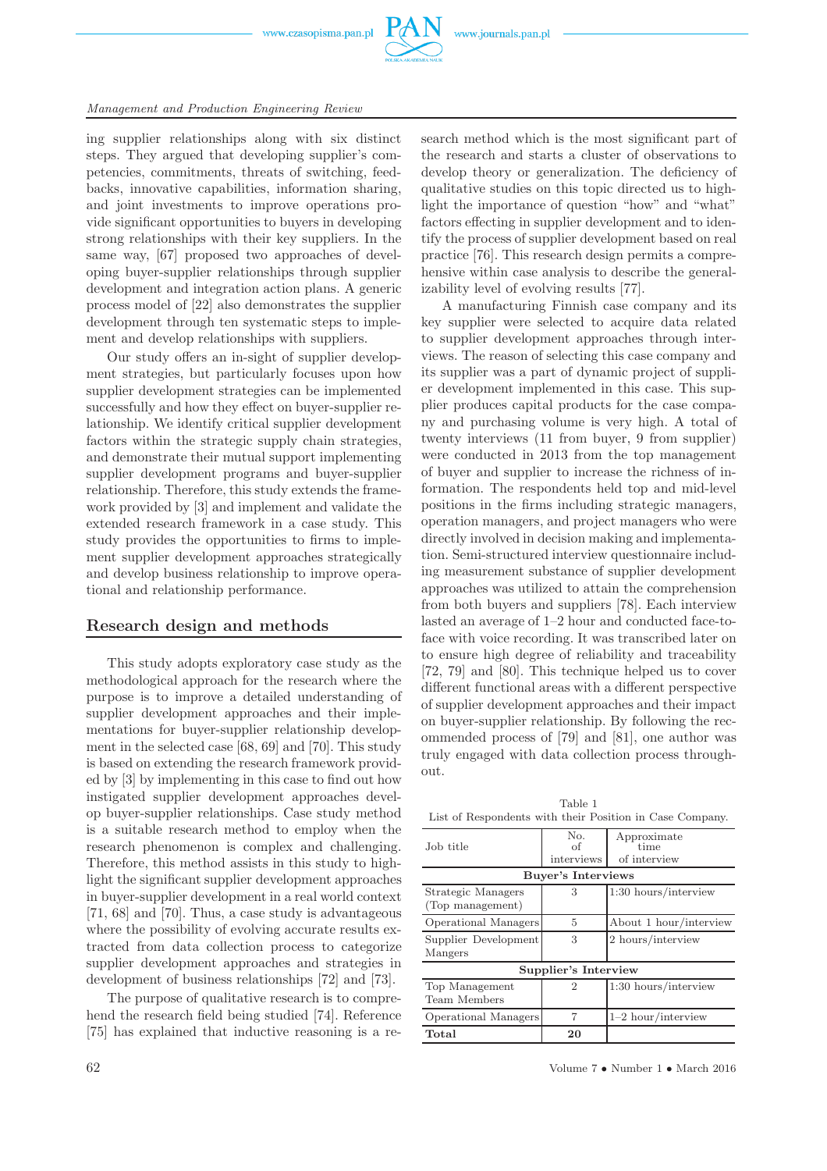

ing supplier relationships along with six distinct steps. They argued that developing supplier's competencies, commitments, threats of switching, feedbacks, innovative capabilities, information sharing, and joint investments to improve operations provide significant opportunities to buyers in developing strong relationships with their key suppliers. In the same way, [67] proposed two approaches of developing buyer-supplier relationships through supplier development and integration action plans. A generic process model of [22] also demonstrates the supplier development through ten systematic steps to implement and develop relationships with suppliers.

Our study offers an in-sight of supplier development strategies, but particularly focuses upon how supplier development strategies can be implemented successfully and how they effect on buyer-supplier relationship. We identify critical supplier development factors within the strategic supply chain strategies, and demonstrate their mutual support implementing supplier development programs and buyer-supplier relationship. Therefore, this study extends the framework provided by [3] and implement and validate the extended research framework in a case study. This study provides the opportunities to firms to implement supplier development approaches strategically and develop business relationship to improve operational and relationship performance.

# **Research design and methods**

This study adopts exploratory case study as the methodological approach for the research where the purpose is to improve a detailed understanding of supplier development approaches and their implementations for buyer-supplier relationship development in the selected case [68, 69] and [70]. This study is based on extending the research framework provided by [3] by implementing in this case to find out how instigated supplier development approaches develop buyer-supplier relationships. Case study method is a suitable research method to employ when the research phenomenon is complex and challenging. Therefore, this method assists in this study to highlight the significant supplier development approaches in buyer-supplier development in a real world context [71, 68] and [70]. Thus, a case study is advantageous where the possibility of evolving accurate results extracted from data collection process to categorize supplier development approaches and strategies in development of business relationships [72] and [73].

The purpose of qualitative research is to comprehend the research field being studied [74]. Reference [75] has explained that inductive reasoning is a research method which is the most significant part of the research and starts a cluster of observations to develop theory or generalization. The deficiency of qualitative studies on this topic directed us to highlight the importance of question "how" and "what" factors effecting in supplier development and to identify the process of supplier development based on real practice [76]. This research design permits a comprehensive within case analysis to describe the generalizability level of evolving results [77].

A manufacturing Finnish case company and its key supplier were selected to acquire data related to supplier development approaches through interviews. The reason of selecting this case company and its supplier was a part of dynamic project of supplier development implemented in this case. This supplier produces capital products for the case company and purchasing volume is very high. A total of twenty interviews (11 from buyer, 9 from supplier) were conducted in 2013 from the top management of buyer and supplier to increase the richness of information. The respondents held top and mid-level positions in the firms including strategic managers, operation managers, and project managers who were directly involved in decision making and implementation. Semi-structured interview questionnaire including measurement substance of supplier development approaches was utilized to attain the comprehension from both buyers and suppliers [78]. Each interview lasted an average of 1–2 hour and conducted face-toface with voice recording. It was transcribed later on to ensure high degree of reliability and traceability [72, 79] and [80]. This technique helped us to cover different functional areas with a different perspective of supplier development approaches and their impact on buyer-supplier relationship. By following the recommended process of [79] and [81], one author was truly engaged with data collection process throughout.

Table 1 List of Respondents with their Position in Case Company.

| Job title                              | N <sub>o</sub><br>of<br>interviews | Approximate<br>time<br>of interview |  |
|----------------------------------------|------------------------------------|-------------------------------------|--|
| Buyer's Interviews                     |                                    |                                     |  |
| Strategic Managers<br>(Top management) | 3                                  | $1:30$ hours/interview              |  |
| Operational Managers                   | 5                                  | About 1 hour/interview              |  |
| Supplier Development<br>Mangers        | 3                                  | 2 hours/interview                   |  |
| Supplier's Interview                   |                                    |                                     |  |
| Top Management<br>Team Members         | 2                                  | $1:30$ hours/interview              |  |
| <b>Operational Managers</b>            | 7                                  | $1-2$ hour/interview                |  |
| Total                                  | 20                                 |                                     |  |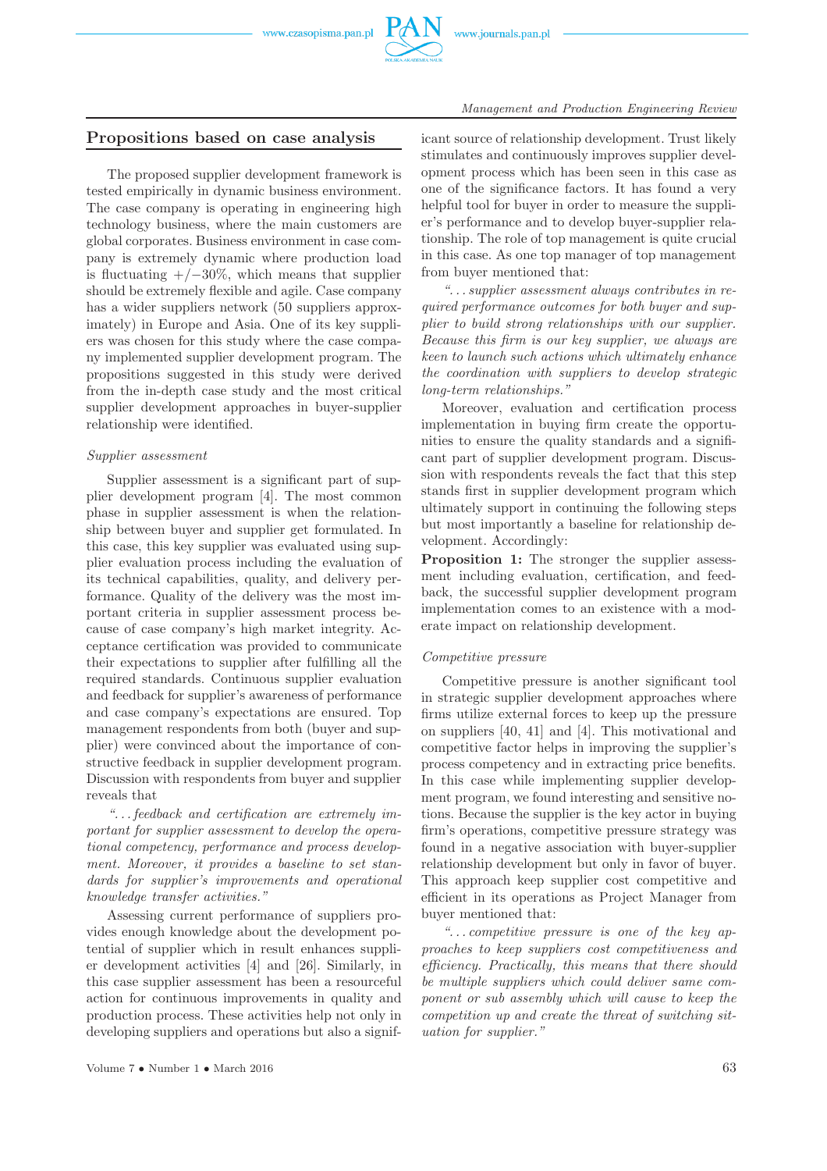

# **Propositions based on case analysis**

The proposed supplier development framework is tested empirically in dynamic business environment. The case company is operating in engineering high technology business, where the main customers are global corporates. Business environment in case company is extremely dynamic where production load is fluctuating  $+/-30\%$ , which means that supplier should be extremely flexible and agile. Case company has a wider suppliers network (50 suppliers approximately) in Europe and Asia. One of its key suppliers was chosen for this study where the case company implemented supplier development program. The propositions suggested in this study were derived from the in-depth case study and the most critical supplier development approaches in buyer-supplier relationship were identified.

#### *Supplier assessment*

Supplier assessment is a significant part of supplier development program [4]. The most common phase in supplier assessment is when the relationship between buyer and supplier get formulated. In this case, this key supplier was evaluated using supplier evaluation process including the evaluation of its technical capabilities, quality, and delivery performance. Quality of the delivery was the most important criteria in supplier assessment process because of case company's high market integrity. Acceptance certification was provided to communicate their expectations to supplier after fulfilling all the required standards. Continuous supplier evaluation and feedback for supplier's awareness of performance and case company's expectations are ensured. Top management respondents from both (buyer and supplier) were convinced about the importance of constructive feedback in supplier development program. Discussion with respondents from buyer and supplier reveals that

*". . . feedback and certification are extremely important for supplier assessment to develop the operational competency, performance and process development. Moreover, it provides a baseline to set standards for supplier's improvements and operational knowledge transfer activities."*

Assessing current performance of suppliers provides enough knowledge about the development potential of supplier which in result enhances supplier development activities [4] and [26]. Similarly, in this case supplier assessment has been a resourceful action for continuous improvements in quality and production process. These activities help not only in developing suppliers and operations but also a signif-

Volume  $7 \cdot \text{Number 1} \cdot \text{March 2016}$  63

icant source of relationship development. Trust likely stimulates and continuously improves supplier development process which has been seen in this case as one of the significance factors. It has found a very helpful tool for buyer in order to measure the supplier's performance and to develop buyer-supplier relationship. The role of top management is quite crucial in this case. As one top manager of top management from buyer mentioned that:

*". . . supplier assessment always contributes in required performance outcomes for both buyer and supplier to build strong relationships with our supplier. Because this firm is our key supplier, we always are keen to launch such actions which ultimately enhance the coordination with suppliers to develop strategic long-term relationships."*

Moreover, evaluation and certification process implementation in buying firm create the opportunities to ensure the quality standards and a significant part of supplier development program. Discussion with respondents reveals the fact that this step stands first in supplier development program which ultimately support in continuing the following steps but most importantly a baseline for relationship development. Accordingly:

**Proposition 1:** The stronger the supplier assessment including evaluation, certification, and feedback, the successful supplier development program implementation comes to an existence with a moderate impact on relationship development.

#### *Competitive pressure*

Competitive pressure is another significant tool in strategic supplier development approaches where firms utilize external forces to keep up the pressure on suppliers [40, 41] and [4]. This motivational and competitive factor helps in improving the supplier's process competency and in extracting price benefits. In this case while implementing supplier development program, we found interesting and sensitive notions. Because the supplier is the key actor in buying firm's operations, competitive pressure strategy was found in a negative association with buyer-supplier relationship development but only in favor of buyer. This approach keep supplier cost competitive and efficient in its operations as Project Manager from buyer mentioned that:

*". . . competitive pressure is one of the key approaches to keep suppliers cost competitiveness and efficiency. Practically, this means that there should be multiple suppliers which could deliver same component or sub assembly which will cause to keep the competition up and create the threat of switching situation for supplier."*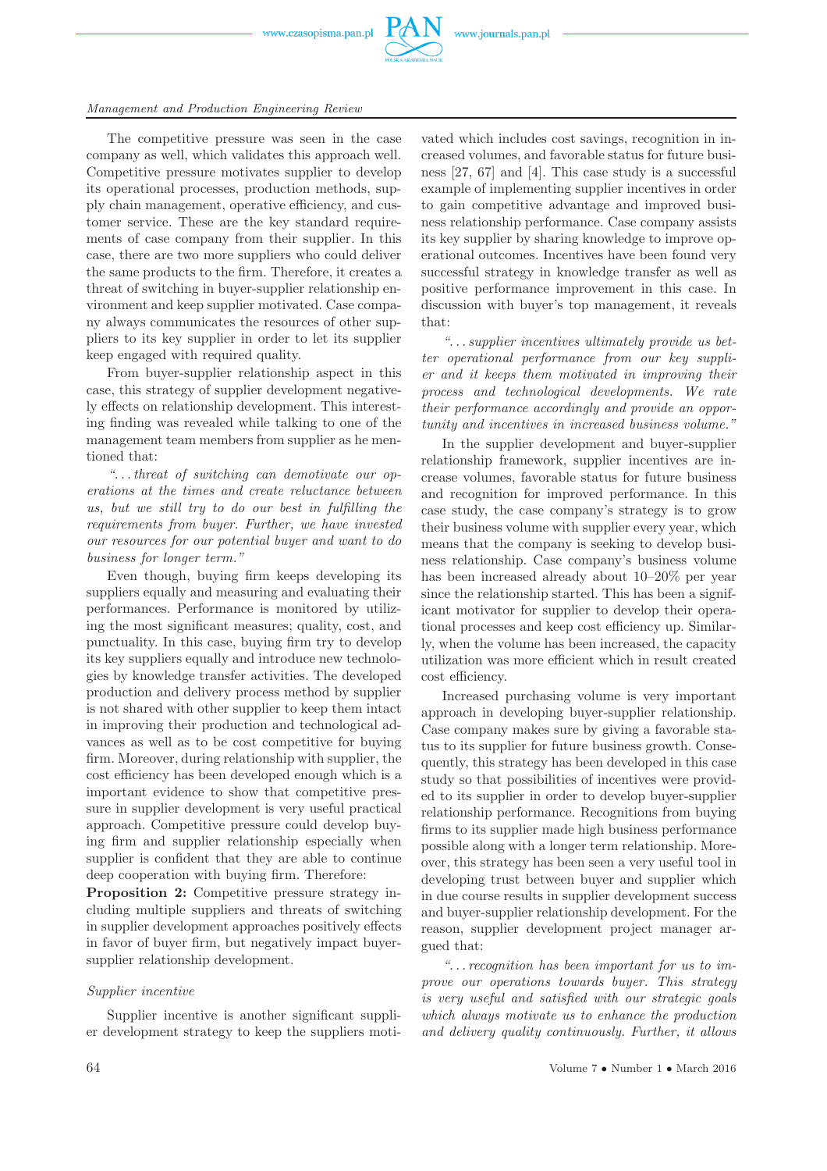



#### *Management and Production Engineering Review*

The competitive pressure was seen in the case company as well, which validates this approach well. Competitive pressure motivates supplier to develop its operational processes, production methods, supply chain management, operative efficiency, and customer service. These are the key standard requirements of case company from their supplier. In this case, there are two more suppliers who could deliver the same products to the firm. Therefore, it creates a threat of switching in buyer-supplier relationship environment and keep supplier motivated. Case company always communicates the resources of other suppliers to its key supplier in order to let its supplier keep engaged with required quality.

From buyer-supplier relationship aspect in this case, this strategy of supplier development negatively effects on relationship development. This interesting finding was revealed while talking to one of the management team members from supplier as he mentioned that:

*". . . threat of switching can demotivate our operations at the times and create reluctance between us, but we still try to do our best in fulfilling the requirements from buyer. Further, we have invested our resources for our potential buyer and want to do business for longer term."*

Even though, buying firm keeps developing its suppliers equally and measuring and evaluating their performances. Performance is monitored by utilizing the most significant measures; quality, cost, and punctuality. In this case, buying firm try to develop its key suppliers equally and introduce new technologies by knowledge transfer activities. The developed production and delivery process method by supplier is not shared with other supplier to keep them intact in improving their production and technological advances as well as to be cost competitive for buying firm. Moreover, during relationship with supplier, the cost efficiency has been developed enough which is a important evidence to show that competitive pressure in supplier development is very useful practical approach. Competitive pressure could develop buying firm and supplier relationship especially when supplier is confident that they are able to continue deep cooperation with buying firm. Therefore:

**Proposition 2:** Competitive pressure strategy including multiple suppliers and threats of switching in supplier development approaches positively effects in favor of buyer firm, but negatively impact buyersupplier relationship development.

# *Supplier incentive*

Supplier incentive is another significant supplier development strategy to keep the suppliers moti-

vated which includes cost savings, recognition in increased volumes, and favorable status for future business [27, 67] and [4]. This case study is a successful example of implementing supplier incentives in order to gain competitive advantage and improved business relationship performance. Case company assists its key supplier by sharing knowledge to improve operational outcomes. Incentives have been found very successful strategy in knowledge transfer as well as positive performance improvement in this case. In discussion with buyer's top management, it reveals that:

*". . . supplier incentives ultimately provide us better operational performance from our key supplier and it keeps them motivated in improving their process and technological developments. We rate their performance accordingly and provide an opportunity and incentives in increased business volume."*

In the supplier development and buyer-supplier relationship framework, supplier incentives are increase volumes, favorable status for future business and recognition for improved performance. In this case study, the case company's strategy is to grow their business volume with supplier every year, which means that the company is seeking to develop business relationship. Case company's business volume has been increased already about 10–20% per year since the relationship started. This has been a significant motivator for supplier to develop their operational processes and keep cost efficiency up. Similarly, when the volume has been increased, the capacity utilization was more efficient which in result created cost efficiency.

Increased purchasing volume is very important approach in developing buyer-supplier relationship. Case company makes sure by giving a favorable status to its supplier for future business growth. Consequently, this strategy has been developed in this case study so that possibilities of incentives were provided to its supplier in order to develop buyer-supplier relationship performance. Recognitions from buying firms to its supplier made high business performance possible along with a longer term relationship. Moreover, this strategy has been seen a very useful tool in developing trust between buyer and supplier which in due course results in supplier development success and buyer-supplier relationship development. For the reason, supplier development project manager argued that:

*". . . recognition has been important for us to improve our operations towards buyer. This strategy is very useful and satisfied with our strategic goals which always motivate us to enhance the production and delivery quality continuously. Further, it allows*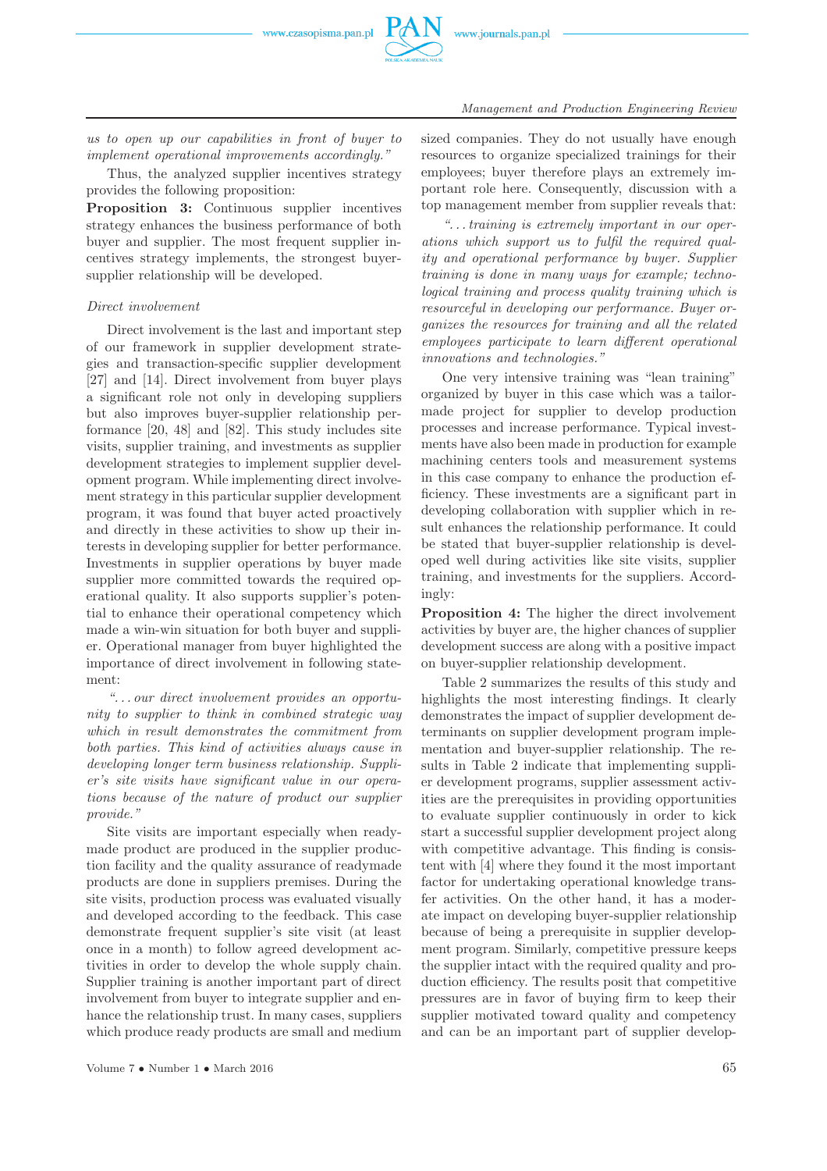

*us to open up our capabilities in front of buyer to implement operational improvements accordingly."*

Thus, the analyzed supplier incentives strategy provides the following proposition:

**Proposition 3:** Continuous supplier incentives strategy enhances the business performance of both buyer and supplier. The most frequent supplier incentives strategy implements, the strongest buyersupplier relationship will be developed.

# *Direct involvement*

Direct involvement is the last and important step of our framework in supplier development strategies and transaction-specific supplier development [27] and [14]. Direct involvement from buyer plays a significant role not only in developing suppliers but also improves buyer-supplier relationship performance [20, 48] and [82]. This study includes site visits, supplier training, and investments as supplier development strategies to implement supplier development program. While implementing direct involvement strategy in this particular supplier development program, it was found that buyer acted proactively and directly in these activities to show up their interests in developing supplier for better performance. Investments in supplier operations by buyer made supplier more committed towards the required operational quality. It also supports supplier's potential to enhance their operational competency which made a win-win situation for both buyer and supplier. Operational manager from buyer highlighted the importance of direct involvement in following statement:

*". . . our direct involvement provides an opportunity to supplier to think in combined strategic way which in result demonstrates the commitment from both parties. This kind of activities always cause in developing longer term business relationship. Supplier's site visits have significant value in our operations because of the nature of product our supplier provide."*

Site visits are important especially when readymade product are produced in the supplier production facility and the quality assurance of readymade products are done in suppliers premises. During the site visits, production process was evaluated visually and developed according to the feedback. This case demonstrate frequent supplier's site visit (at least once in a month) to follow agreed development activities in order to develop the whole supply chain. Supplier training is another important part of direct involvement from buyer to integrate supplier and enhance the relationship trust. In many cases, suppliers which produce ready products are small and medium sized companies. They do not usually have enough resources to organize specialized trainings for their employees; buyer therefore plays an extremely important role here. Consequently, discussion with a top management member from supplier reveals that:

*". . . training is extremely important in our operations which support us to fulfil the required quality and operational performance by buyer. Supplier training is done in many ways for example; technological training and process quality training which is resourceful in developing our performance. Buyer organizes the resources for training and all the related employees participate to learn different operational innovations and technologies."*

One very intensive training was "lean training" organized by buyer in this case which was a tailormade project for supplier to develop production processes and increase performance. Typical investments have also been made in production for example machining centers tools and measurement systems in this case company to enhance the production efficiency. These investments are a significant part in developing collaboration with supplier which in result enhances the relationship performance. It could be stated that buyer-supplier relationship is developed well during activities like site visits, supplier training, and investments for the suppliers. Accordingly:

**Proposition 4:** The higher the direct involvement activities by buyer are, the higher chances of supplier development success are along with a positive impact on buyer-supplier relationship development.

Table 2 summarizes the results of this study and highlights the most interesting findings. It clearly demonstrates the impact of supplier development determinants on supplier development program implementation and buyer-supplier relationship. The results in Table 2 indicate that implementing supplier development programs, supplier assessment activities are the prerequisites in providing opportunities to evaluate supplier continuously in order to kick start a successful supplier development project along with competitive advantage. This finding is consistent with [4] where they found it the most important factor for undertaking operational knowledge transfer activities. On the other hand, it has a moderate impact on developing buyer-supplier relationship because of being a prerequisite in supplier development program. Similarly, competitive pressure keeps the supplier intact with the required quality and production efficiency. The results posit that competitive pressures are in favor of buying firm to keep their supplier motivated toward quality and competency and can be an important part of supplier develop-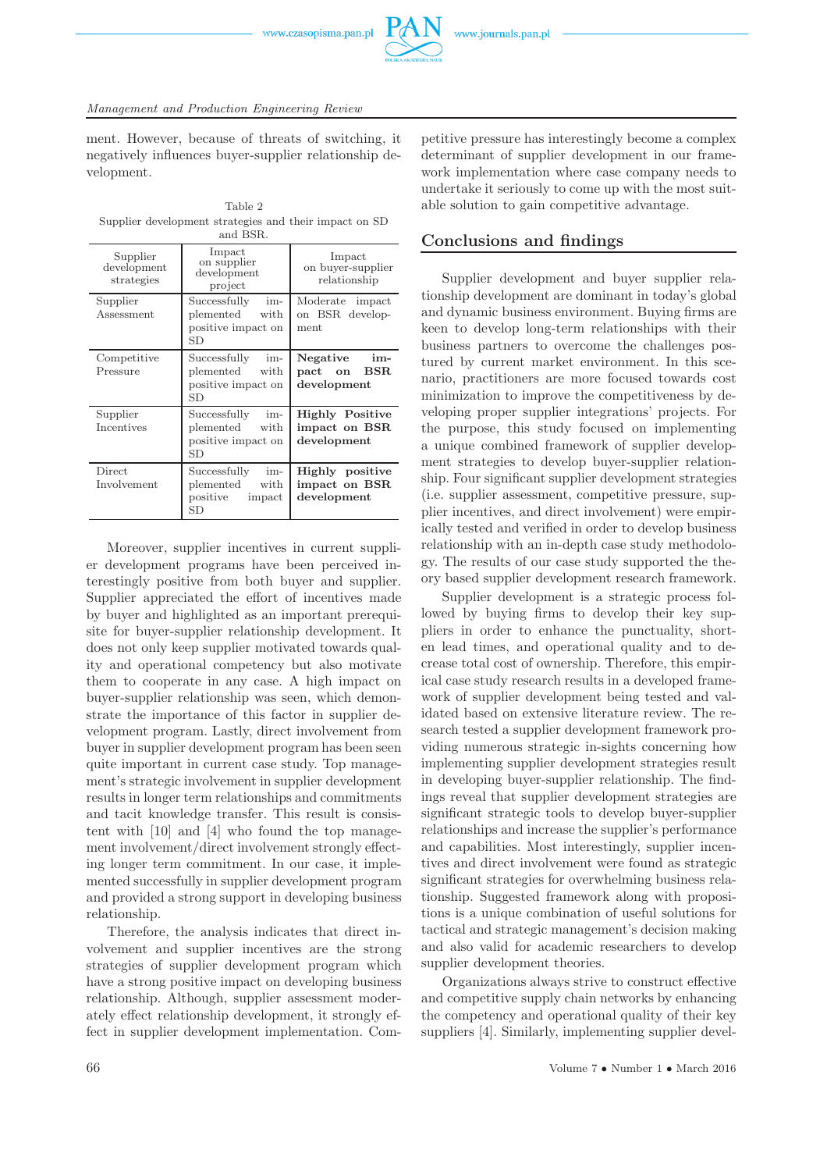

ment. However, because of threats of switching, it negatively influences buyer-supplier relationship development.

Table 2 Supplier development strategies and their impact on SD and BSR.

| Supplier<br>development<br>strategies | Impact<br>on supplier<br>development<br>project                               | Impact<br>on buyer-supplier<br>relationship            |
|---------------------------------------|-------------------------------------------------------------------------------|--------------------------------------------------------|
| Supplier<br>Assessment                | Successfully<br>im-<br>plemented<br>with<br>positive impact on<br>SD          | Moderate<br>impact<br>on BSR develop-<br>ment          |
| Competitive<br>Pressure               | Successfully<br>im-<br>plemented<br>with<br>positive impact on<br>SD          | Negative<br>im-<br>BSR<br>pact on<br>$d$ evelopment    |
| Supplier<br>Incentives                | Successfully<br>im-<br>plemented<br>with<br>positive impact on<br>SD          | <b>Highly Positive</b><br>impact on BSR<br>development |
| Direct<br>Involvement                 | Successfully<br>im-<br>plemented<br>with<br>positive<br>impact<br>$_{\rm SD}$ | Highly positive<br>impact on BSR<br>$d$ evelopment     |

Moreover, supplier incentives in current supplier development programs have been perceived interestingly positive from both buyer and supplier. Supplier appreciated the effort of incentives made by buyer and highlighted as an important prerequisite for buyer-supplier relationship development. It does not only keep supplier motivated towards quality and operational competency but also motivate them to cooperate in any case. A high impact on buyer-supplier relationship was seen, which demonstrate the importance of this factor in supplier development program. Lastly, direct involvement from buyer in supplier development program has been seen quite important in current case study. Top management's strategic involvement in supplier development results in longer term relationships and commitments and tacit knowledge transfer. This result is consistent with [10] and [4] who found the top management involvement/direct involvement strongly effecting longer term commitment. In our case, it implemented successfully in supplier development program and provided a strong support in developing business relationship.

Therefore, the analysis indicates that direct involvement and supplier incentives are the strong strategies of supplier development program which have a strong positive impact on developing business relationship. Although, supplier assessment moderately effect relationship development, it strongly effect in supplier development implementation. Com-

petitive pressure has interestingly become a complex determinant of supplier development in our framework implementation where case company needs to undertake it seriously to come up with the most suitable solution to gain competitive advantage.

# **Conclusions and findings**

Supplier development and buyer supplier relationship development are dominant in today's global and dynamic business environment. Buying firms are keen to develop long-term relationships with their business partners to overcome the challenges postured by current market environment. In this scenario, practitioners are more focused towards cost minimization to improve the competitiveness by developing proper supplier integrations' projects. For the purpose, this study focused on implementing a unique combined framework of supplier development strategies to develop buyer-supplier relationship. Four significant supplier development strategies (i.e. supplier assessment, competitive pressure, supplier incentives, and direct involvement) were empirically tested and verified in order to develop business relationship with an in-depth case study methodology. The results of our case study supported the theory based supplier development research framework.

Supplier development is a strategic process followed by buying firms to develop their key suppliers in order to enhance the punctuality, shorten lead times, and operational quality and to decrease total cost of ownership. Therefore, this empirical case study research results in a developed framework of supplier development being tested and validated based on extensive literature review. The research tested a supplier development framework providing numerous strategic in-sights concerning how implementing supplier development strategies result in developing buyer-supplier relationship. The findings reveal that supplier development strategies are significant strategic tools to develop buyer-supplier relationships and increase the supplier's performance and capabilities. Most interestingly, supplier incentives and direct involvement were found as strategic significant strategies for overwhelming business relationship. Suggested framework along with propositions is a unique combination of useful solutions for tactical and strategic management's decision making and also valid for academic researchers to develop supplier development theories.

Organizations always strive to construct effective and competitive supply chain networks by enhancing the competency and operational quality of their key suppliers [4]. Similarly, implementing supplier devel-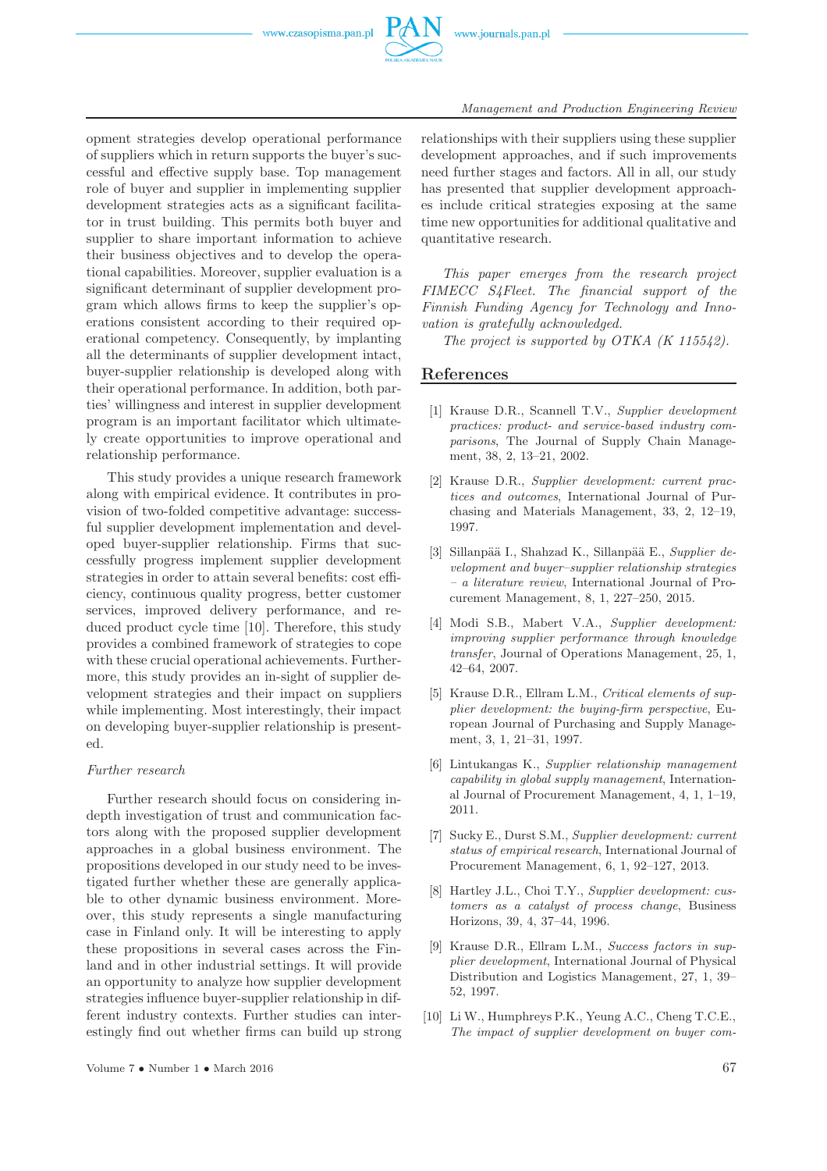

opment strategies develop operational performance of suppliers which in return supports the buyer's successful and effective supply base. Top management role of buyer and supplier in implementing supplier development strategies acts as a significant facilitator in trust building. This permits both buyer and supplier to share important information to achieve their business objectives and to develop the operational capabilities. Moreover, supplier evaluation is a significant determinant of supplier development program which allows firms to keep the supplier's operations consistent according to their required operational competency. Consequently, by implanting all the determinants of supplier development intact, buyer-supplier relationship is developed along with their operational performance. In addition, both parties' willingness and interest in supplier development program is an important facilitator which ultimately create opportunities to improve operational and relationship performance.

This study provides a unique research framework along with empirical evidence. It contributes in provision of two-folded competitive advantage: successful supplier development implementation and developed buyer-supplier relationship. Firms that successfully progress implement supplier development strategies in order to attain several benefits: cost efficiency, continuous quality progress, better customer services, improved delivery performance, and reduced product cycle time [10]. Therefore, this study provides a combined framework of strategies to cope with these crucial operational achievements. Furthermore, this study provides an in-sight of supplier development strategies and their impact on suppliers while implementing. Most interestingly, their impact on developing buyer-supplier relationship is presented.

# *Further research*

Further research should focus on considering indepth investigation of trust and communication factors along with the proposed supplier development approaches in a global business environment. The propositions developed in our study need to be investigated further whether these are generally applicable to other dynamic business environment. Moreover, this study represents a single manufacturing case in Finland only. It will be interesting to apply these propositions in several cases across the Finland and in other industrial settings. It will provide an opportunity to analyze how supplier development strategies influence buyer-supplier relationship in different industry contexts. Further studies can interestingly find out whether firms can build up strong relationships with their suppliers using these supplier development approaches, and if such improvements need further stages and factors. All in all, our study has presented that supplier development approaches include critical strategies exposing at the same time new opportunities for additional qualitative and quantitative research.

*This paper emerges from the research project FIMECC S4Fleet. The financial support of the Finnish Funding Agency for Technology and Innovation is gratefully acknowledged.*

*The project is supported by OTKA (K 115542).*

# **References**

- [1] Krause D.R., Scannell T.V., *Supplier development practices: product- and service-based industry comparisons*, The Journal of Supply Chain Management, 38, 2, 13–21, 2002.
- [2] Krause D.R., *Supplier development: current practices and outcomes*, International Journal of Purchasing and Materials Management, 33, 2, 12–19, 1997.
- [3] Sillanpää I., Shahzad K., Sillanpää E., *Supplier development and buyer–supplier relationship strategies – a literature review*, International Journal of Procurement Management, 8, 1, 227–250, 2015.
- [4] Modi S.B., Mabert V.A., *Supplier development: improving supplier performance through knowledge transfer*, Journal of Operations Management, 25, 1, 42–64, 2007.
- [5] Krause D.R., Ellram L.M., *Critical elements of supplier development: the buying-firm perspective*, European Journal of Purchasing and Supply Management, 3, 1, 21–31, 1997.
- [6] Lintukangas K., *Supplier relationship management capability in global supply management*, International Journal of Procurement Management, 4, 1, 1–19, 2011.
- [7] Sucky E., Durst S.M., *Supplier development: current status of empirical research*, International Journal of Procurement Management, 6, 1, 92–127, 2013.
- [8] Hartley J.L., Choi T.Y., *Supplier development: customers as a catalyst of process change*, Business Horizons, 39, 4, 37–44, 1996.
- [9] Krause D.R., Ellram L.M., *Success factors in supplier development*, International Journal of Physical Distribution and Logistics Management, 27, 1, 39– 52, 1997.
- [10] Li W., Humphreys P.K., Yeung A.C., Cheng T.C.E., *The impact of supplier development on buyer com-*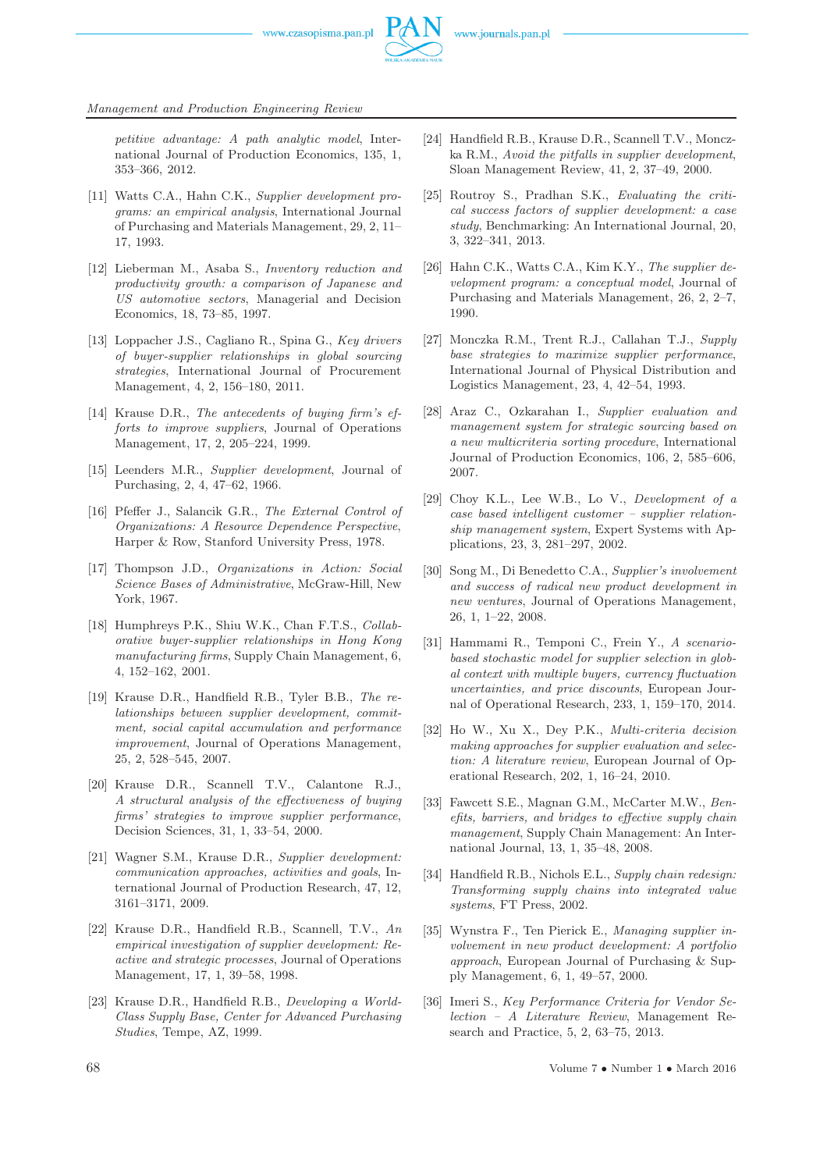

*petitive advantage: A path analytic model*, International Journal of Production Economics, 135, 1, 353–366, 2012.

- [11] Watts C.A., Hahn C.K., *Supplier development programs: an empirical analysis*, International Journal of Purchasing and Materials Management, 29, 2, 11– 17, 1993.
- [12] Lieberman M., Asaba S., *Inventory reduction and productivity growth: a comparison of Japanese and US automotive sectors*, Managerial and Decision Economics, 18, 73–85, 1997.
- [13] Loppacher J.S., Cagliano R., Spina G., *Key drivers of buyer-supplier relationships in global sourcing strategies*, International Journal of Procurement Management, 4, 2, 156–180, 2011.
- [14] Krause D.R., *The antecedents of buying firm's efforts to improve suppliers*, Journal of Operations Management, 17, 2, 205–224, 1999.
- [15] Leenders M.R., *Supplier development*, Journal of Purchasing, 2, 4, 47–62, 1966.
- [16] Pfeffer J., Salancik G.R., *The External Control of Organizations: A Resource Dependence Perspective*, Harper & Row, Stanford University Press, 1978.
- [17] Thompson J.D., *Organizations in Action: Social Science Bases of Administrative*, McGraw-Hill, New York, 1967.
- [18] Humphreys P.K., Shiu W.K., Chan F.T.S., *Collaborative buyer-supplier relationships in Hong Kong manufacturing firms*, Supply Chain Management, 6, 4, 152–162, 2001.
- [19] Krause D.R., Handfield R.B., Tyler B.B., *The relationships between supplier development, commitment, social capital accumulation and performance improvement*, Journal of Operations Management, 25, 2, 528–545, 2007.
- [20] Krause D.R., Scannell T.V., Calantone R.J., *A structural analysis of the effectiveness of buying firms' strategies to improve supplier performance*, Decision Sciences, 31, 1, 33–54, 2000.
- [21] Wagner S.M., Krause D.R., *Supplier development: communication approaches, activities and goals*, International Journal of Production Research, 47, 12, 3161–3171, 2009.
- [22] Krause D.R., Handfield R.B., Scannell, T.V., *An empirical investigation of supplier development: Reactive and strategic processes*, Journal of Operations Management, 17, 1, 39–58, 1998.
- [23] Krause D.R., Handfield R.B., *Developing a World-Class Supply Base, Center for Advanced Purchasing Studies*, Tempe, AZ, 1999.
- [24] Handfield R.B., Krause D.R., Scannell T.V., Monczka R.M., *Avoid the pitfalls in supplier development*, Sloan Management Review, 41, 2, 37–49, 2000.
- [25] Routroy S., Pradhan S.K., *Evaluating the critical success factors of supplier development: a case study*, Benchmarking: An International Journal, 20, 3, 322–341, 2013.
- [26] Hahn C.K., Watts C.A., Kim K.Y., *The supplier development program: a conceptual model*, Journal of Purchasing and Materials Management, 26, 2, 2–7, 1990.
- [27] Monczka R.M., Trent R.J., Callahan T.J., *Supply base strategies to maximize supplier performance*, International Journal of Physical Distribution and Logistics Management, 23, 4, 42–54, 1993.
- [28] Araz C., Ozkarahan I., *Supplier evaluation and management system for strategic sourcing based on a new multicriteria sorting procedure*, International Journal of Production Economics, 106, 2, 585–606, 2007.
- [29] Choy K.L., Lee W.B., Lo V., *Development of a case based intelligent customer – supplier relationship management system*, Expert Systems with Applications, 23, 3, 281–297, 2002.
- [30] Song M., Di Benedetto C.A., *Supplier's involvement and success of radical new product development in new ventures*, Journal of Operations Management, 26, 1, 1–22, 2008.
- [31] Hammami R., Temponi C., Frein Y., *A scenariobased stochastic model for supplier selection in global context with multiple buyers, currency fluctuation uncertainties, and price discounts*, European Journal of Operational Research, 233, 1, 159–170, 2014.
- [32] Ho W., Xu X., Dey P.K., *Multi-criteria decision making approaches for supplier evaluation and selection: A literature review*, European Journal of Operational Research, 202, 1, 16–24, 2010.
- [33] Fawcett S.E., Magnan G.M., McCarter M.W., *Benefits, barriers, and bridges to effective supply chain management*, Supply Chain Management: An International Journal, 13, 1, 35–48, 2008.
- [34] Handfield R.B., Nichols E.L., *Supply chain redesign: Transforming supply chains into integrated value systems*, FT Press, 2002.
- [35] Wynstra F., Ten Pierick E., *Managing supplier involvement in new product development: A portfolio approach*, European Journal of Purchasing & Supply Management, 6, 1, 49–57, 2000.
- [36] Imeri S., *Key Performance Criteria for Vendor Selection – A Literature Review*, Management Research and Practice, 5, 2, 63–75, 2013.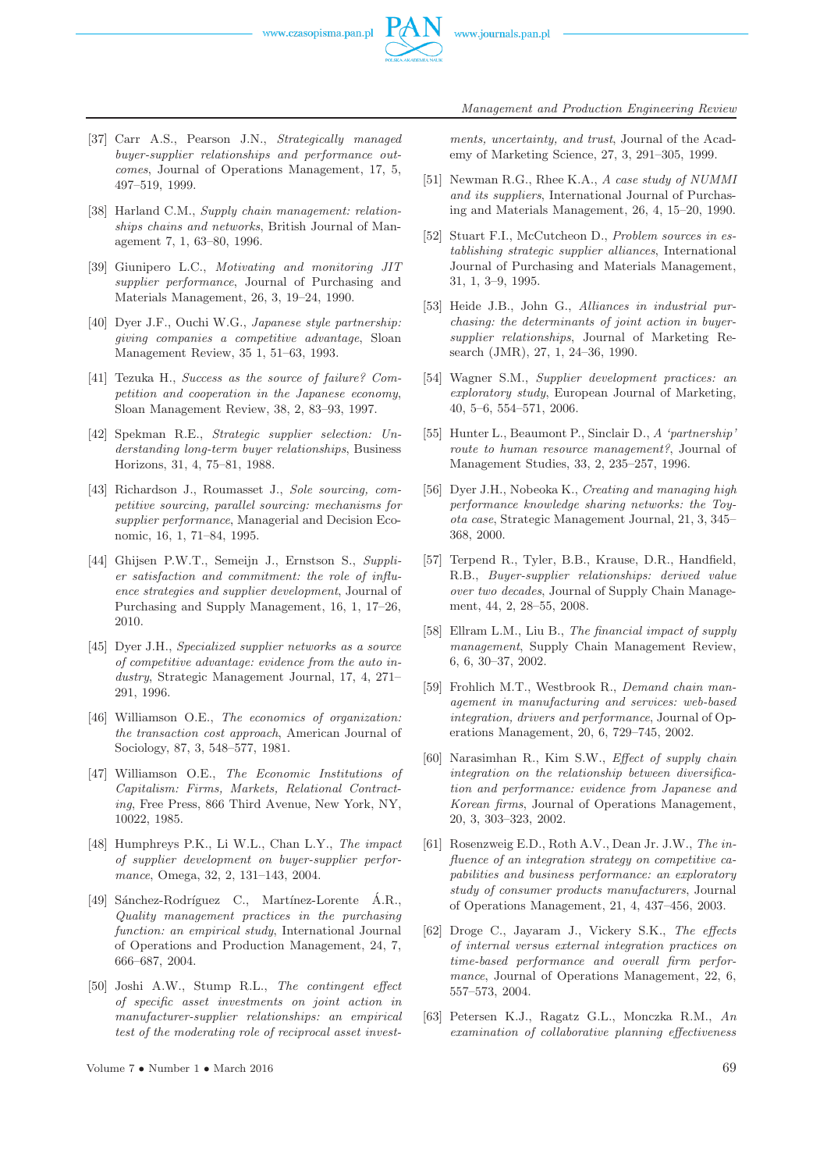

- [37] Carr A.S., Pearson J.N., *Strategically managed buyer-supplier relationships and performance outcomes*, Journal of Operations Management, 17, 5, 497–519, 1999.
- [38] Harland C.M., *Supply chain management: relationships chains and networks*, British Journal of Management 7, 1, 63–80, 1996.
- [39] Giunipero L.C., *Motivating and monitoring JIT supplier performance*, Journal of Purchasing and Materials Management, 26, 3, 19–24, 1990.
- [40] Dyer J.F., Ouchi W.G., *Japanese style partnership: giving companies a competitive advantage*, Sloan Management Review, 35 1, 51–63, 1993.
- [41] Tezuka H., *Success as the source of failure? Competition and cooperation in the Japanese economy*, Sloan Management Review, 38, 2, 83–93, 1997.
- [42] Spekman R.E., *Strategic supplier selection: Understanding long-term buyer relationships*, Business Horizons, 31, 4, 75–81, 1988.
- [43] Richardson J., Roumasset J., *Sole sourcing, competitive sourcing, parallel sourcing: mechanisms for supplier performance*, Managerial and Decision Economic, 16, 1, 71–84, 1995.
- [44] Ghijsen P.W.T., Semeijn J., Ernstson S., *Supplier satisfaction and commitment: the role of influence strategies and supplier development*, Journal of Purchasing and Supply Management, 16, 1, 17–26, 2010.
- [45] Dyer J.H., *Specialized supplier networks as a source of competitive advantage: evidence from the auto industry*, Strategic Management Journal, 17, 4, 271– 291, 1996.
- [46] Williamson O.E., *The economics of organization: the transaction cost approach*, American Journal of Sociology, 87, 3, 548–577, 1981.
- [47] Williamson O.E., *The Economic Institutions of Capitalism: Firms, Markets, Relational Contracting*, Free Press, 866 Third Avenue, New York, NY, 10022, 1985.
- [48] Humphreys P.K., Li W.L., Chan L.Y., *The impact of supplier development on buyer-supplier performance*, Omega, 32, 2, 131–143, 2004.
- [49] Sánchez-Rodríguez C., Martínez-Lorente Á.R., *Quality management practices in the purchasing function: an empirical study*, International Journal of Operations and Production Management, 24, 7, 666–687, 2004.
- [50] Joshi A.W., Stump R.L., *The contingent effect of specific asset investments on joint action in manufacturer-supplier relationships: an empirical test of the moderating role of reciprocal asset invest-*

*ments, uncertainty, and trust*, Journal of the Academy of Marketing Science, 27, 3, 291–305, 1999.

- [51] Newman R.G., Rhee K.A., *A case study of NUMMI and its suppliers*, International Journal of Purchasing and Materials Management, 26, 4, 15–20, 1990.
- [52] Stuart F.I., McCutcheon D., *Problem sources in establishing strategic supplier alliances*, International Journal of Purchasing and Materials Management, 31, 1, 3–9, 1995.
- [53] Heide J.B., John G., *Alliances in industrial purchasing: the determinants of joint action in buyersupplier relationships*, Journal of Marketing Research (JMR), 27, 1, 24–36, 1990.
- [54] Wagner S.M., *Supplier development practices: an exploratory study*, European Journal of Marketing, 40, 5–6, 554–571, 2006.
- [55] Hunter L., Beaumont P., Sinclair D., *A 'partnership' route to human resource management?*, Journal of Management Studies, 33, 2, 235–257, 1996.
- [56] Dyer J.H., Nobeoka K., *Creating and managing high performance knowledge sharing networks: the Toyota case*, Strategic Management Journal, 21, 3, 345– 368, 2000.
- [57] Terpend R., Tyler, B.B., Krause, D.R., Handfield, R.B., *Buyer-supplier relationships: derived value over two decades*, Journal of Supply Chain Management, 44, 2, 28–55, 2008.
- [58] Ellram L.M., Liu B., *The financial impact of supply management*, Supply Chain Management Review, 6, 6, 30–37, 2002.
- [59] Frohlich M.T., Westbrook R., *Demand chain management in manufacturing and services: web-based integration, drivers and performance*, Journal of Operations Management, 20, 6, 729–745, 2002.
- [60] Narasimhan R., Kim S.W., *Effect of supply chain integration on the relationship between diversification and performance: evidence from Japanese and Korean firms*, Journal of Operations Management, 20, 3, 303–323, 2002.
- [61] Rosenzweig E.D., Roth A.V., Dean Jr. J.W., *The influence of an integration strategy on competitive capabilities and business performance: an exploratory study of consumer products manufacturers*, Journal of Operations Management, 21, 4, 437–456, 2003.
- [62] Droge C., Jayaram J., Vickery S.K., *The effects of internal versus external integration practices on time-based performance and overall firm performance*, Journal of Operations Management, 22, 6, 557–573, 2004.
- [63] Petersen K.J., Ragatz G.L., Monczka R.M., *An examination of collaborative planning effectiveness*

Volume  $7 \cdot \text{Number 1} \cdot \text{March 2016}$  69